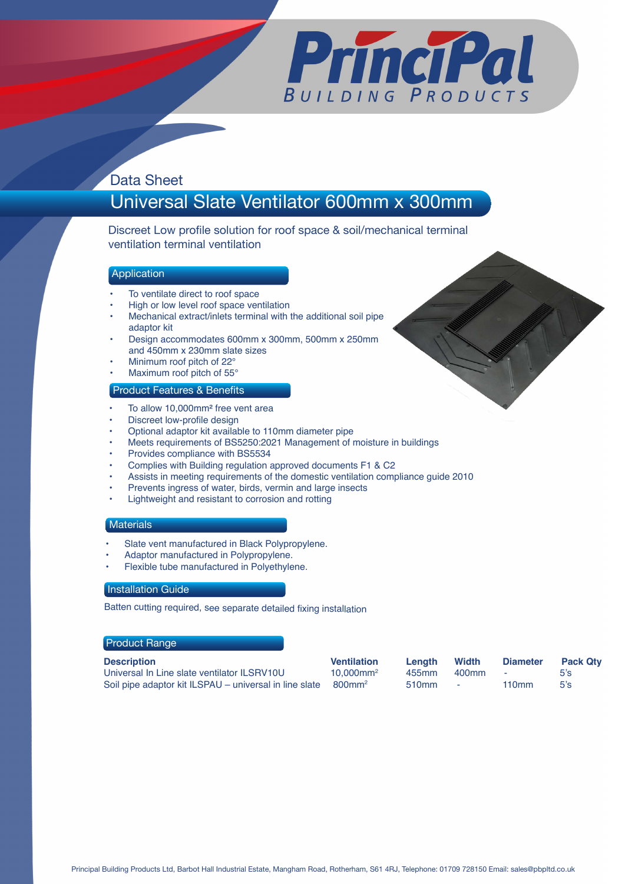

# Data Sheet

# Universal Slate Ventilator 600mm x 300mm

Discreet Low profile solution for roof space & soil/mechanical terminal ventilation terminal ventilation

## Application

- To ventilate direct to roof space
- High or low level roof space ventilation
- Mechanical extract/inlets terminal with the additional soil pipe adaptor kit
- Design accommodates 600mm x 300mm, 500mm x 250mm and 450mm x 230mm slate sizes
- Minimum roof pitch of 22°
- Maximum roof pitch of 55°

### Product Features & Benefits

- To allow 10,000mm<sup>2</sup> free vent area
- Discreet low-profile design
- Optional adaptor kit available to 110mm diameter pipe
- Meets requirements of BS5250:2021 Management of moisture in buildings
- Provides compliance with BS5534
- Complies with Building regulation approved documents F1 & C2
- Assists in meeting requirements of the domestic ventilation compliance guide 2010
- Prevents ingress of water, birds, vermin and large insects
- Lightweight and resistant to corrosion and rotting

#### **Materials**

- Slate vent manufactured in Black Polypropylene.
- Adaptor manufactured in Polypropylene.
- Flexible tube manufactured in Polyethylene.

#### **Installation Guide**

Batten cutting required, see separate detailed fixing installation

#### Product Range

| <b>Description</b>                                     | <b>Ventilation</b>       | Lenath | Width            | <b>Diameter</b> | <b>Pack Qtv</b> |
|--------------------------------------------------------|--------------------------|--------|------------------|-----------------|-----------------|
| Universal In Line slate ventilator ILSRV10U            | $10.000$ mm <sup>2</sup> | 455mm  | 400mm -          |                 | 5's             |
| Soil pipe adaptor kit ILSPAU - universal in line slate | 800mm <sup>2</sup>       | 510mm  | and the state of | 110mm           | 5's             |